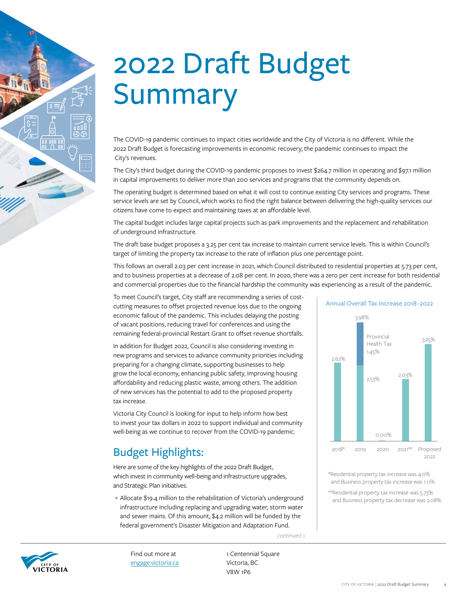# 2022 Draft Budget Summary

The COVID-19 pandemic continues to impact cities worldwide and the City of Victoria is no different. While the 2022 Draft Budget is forecasting improvements in economic recovery, the pandemic continues to impact the City's revenues.

The City's third budget during the COVID-19 pandemic proposes to invest \$264.7 million in operating and \$97.1 million in capital improvements to deliver more than 200 services and programs that the community depends on.

The operating budget is determined based on what it will cost to continue existing City services and programs. These service levels are set by Council, which works to find the right balance between delivering the high-quality services our citizens have come to expect and maintaining taxes at an affordable level.

The capital budget includes large capital projects such as park improvements and the replacement and rehabilitation of underground infrastructure.

The draft base budget proposes a 3.25 per cent tax increase to maintain current service levels. This is within Council's target of limiting the property tax increase to the rate of inflation plus one percentage point.

This follows an overall 2.03 per cent increase in 2021, which Council distributed to residential properties at 5.73 per cent, and to business properties at a decrease of 2.08 per cent. In 2020, there was a zero per cent increase for both residential and commercial properties due to the financial hardship the community was experiencing as a result of the pandemic.

To meet Council's target, City staff are recommending a series of costcutting measures to offset projected revenue loss due to the ongoing economic fallout of the pandemic. This includes delaying the posting of vacant positions, reducing travel for conferences and using the remaining federal-provincial Restart Grant to offset revenue shortfalls.

In addition for Budget 2022, Council is also considering investing in new programs and services to advance community priorities including preparing for a changing climate, supporting businesses to help grow the local economy, enhancing public safety, improving housing affordability and reducing plastic waste, among others. The addition of new services has the potential to add to the proposed property tax increase.

Victoria City Council is looking for input to help inform how best to invest your tax dollars in 2022 to support individual and community well-being as we continue to recover from the COVID-19 pandemic.

# Budget Highlights:

Here are some of the key highlights of the 2022 Draft Budget, which invest in community well-being and infrastructure upgrades, and Strategic Plan initiatives.

• Allocate \$19.4 million to the rehabilitation of Victoria's underground infrastructure including replacing and upgrading water, storm water and sewer mains. Of this amount, \$4.2 million will be funded by the federal government's Disaster Mitigation and Adaptation Fund.





Find out more at [engage.victoria.ca](http://engage.victoria.ca) 1 Centennial Square Victoria, BC V8W 1P6



\*Residential property tax increase was 4.0% and Business property tax increase was 1.11%

\*\*Residential property tax increase was 5.73% and Business property tax decrease was 2.08%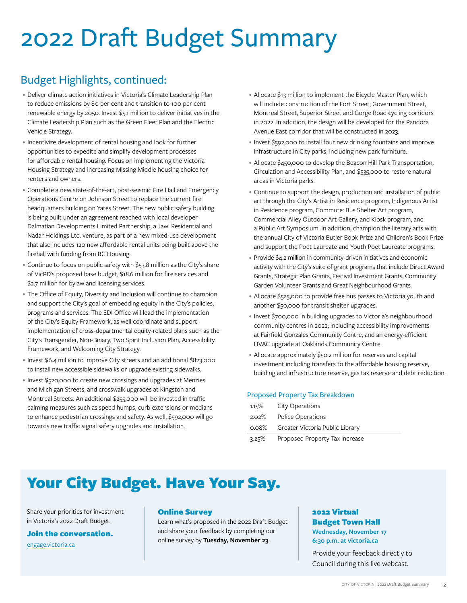# 2022 Draft Budget Summary

# Budget Highlights, continued:

- Deliver climate action initiatives in Victoria's Climate Leadership Plan to reduce emissions by 80 per cent and transition to 100 per cent renewable energy by 2050. Invest \$5.1 million to deliver initiatives in the Climate Leadership Plan such as the Green Fleet Plan and the Electric Vehicle Strategy.
- Incentivize development of rental housing and look for further opportunities to expedite and simplify development processes for affordable rental housing. Focus on implementing the Victoria Housing Strategy and increasing Missing Middle housing choice for renters and owners.
- Complete a new state-of-the-art, post-seismic Fire Hall and Emergency Operations Centre on Johnson Street to replace the current fire headquarters building on Yates Street. The new public safety building is being built under an agreement reached with local developer Dalmatian Developments Limited Partnership, a Jawl Residential and Nadar Holdings Ltd. venture, as part of a new mixed-use development that also includes 120 new affordable rental units being built above the firehall with funding from BC Housing.
- Continue to focus on public safety with \$53.8 million as the City's share of VicPD's proposed base budget, \$18.6 million for fire services and \$2.7 million for bylaw and licensing services.
- The Office of Equity, Diversity and Inclusion will continue to champion and support the City's goal of embedding equity in the City's policies, programs and services. The EDI Office will lead the implementation of the City's Equity Framework, as well coordinate and support implementation of cross-departmental equity-related plans such as the City's Transgender, Non-Binary, Two Spirit Inclusion Plan, Accessibility Framework, and Welcoming City Strategy.
- Invest \$6.4 million to improve City streets and an additional \$823,000 to install new accessible sidewalks or upgrade existing sidewalks.
- Invest \$520,000 to create new crossings and upgrades at Menzies and Michigan Streets, and crosswalk upgrades at Kingston and Montreal Streets. An additional \$255,000 will be invested in traffic calming measures such as speed humps, curb extensions or medians to enhance pedestrian crossings and safety. As well, \$592,000 will go towards new traffic signal safety upgrades and installation.
- Allocate \$13 million to implement the Bicycle Master Plan, which will include construction of the Fort Street, Government Street, Montreal Street, Superior Street and Gorge Road cycling corridors in 2022. In addition, the design will be developed for the Pandora Avenue East corridor that will be constructed in 2023.
- Invest \$592,000 to install four new drinking fountains and improve infrastructure in City parks, including new park furniture.
- Allocate \$450,000 to develop the Beacon Hill Park Transportation, Circulation and Accessibility Plan, and \$535,000 to restore natural areas in Victoria parks.
- Continue to support the design, production and installation of public art through the City's Artist in Residence program, Indigenous Artist in Residence program, Commute: Bus Shelter Art program, Commercial Alley Outdoor Art Gallery, and Kiosk program, and a Public Art Symposium. In addition, champion the literary arts with the annual City of Victoria Butler Book Prize and Children's Book Prize and support the Poet Laureate and Youth Poet Laureate programs.
- Provide \$4.2 million in community-driven initiatives and economic activity with the City's suite of grant programs that include Direct Award Grants, Strategic Plan Grants, Festival Investment Grants, Community Garden Volunteer Grants and Great Neighbourhood Grants.
- Allocate \$525,000 to provide free bus passes to Victoria youth and another \$50,000 for transit shelter upgrades.
- Invest \$700,000 in building upgrades to Victoria's neighbourhood community centres in 2022, including accessibility improvements at Fairfield Gonzales Community Centre, and an energy-efficient HVAC upgrade at Oaklands Community Centre.
- Allocate approximately \$50.2 million for reserves and capital investment including transfers to the affordable housing reserve, building and infrastructure reserve, gas tax reserve and debt reduction.

## Proposed Property Tax Breakdown

|       | 1.15% City Operations                 |
|-------|---------------------------------------|
|       | 2.02% Police Operations               |
|       | 0.08% Greater Victoria Public Library |
| 3.25% | Proposed Property Tax Increase        |

# Your City Budget. Have Your Say.

Share your priorities for investment in Victoria's 2022 Draft Budget.

# Join the conversation.

[engage.victoria.ca](http://engage.victoria.ca)

# Online Survey

Learn what's proposed in the 2022 Draft Budget and share your feedback by completing our online survey by **Tuesday, November 23**.

# 2022 Virtual Budget Town Hall **Wednesday, November 17 6:30 p.m. at [victoria.ca](http://victoria.ca)**

Provide your feedback directly to Council during this live webcast.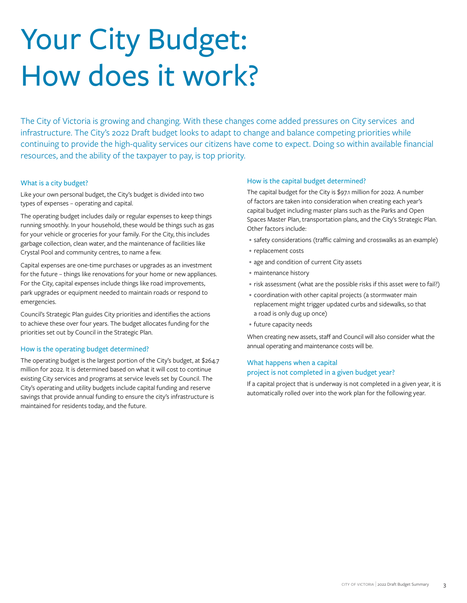# Your City Budget: How does it work?

The City of Victoria is growing and changing. With these changes come added pressures on City services and infrastructure. The City's 2022 Draft budget looks to adapt to change and balance competing priorities while continuing to provide the high-quality services our citizens have come to expect. Doing so within available financial resources, and the ability of the taxpayer to pay, is top priority.

## What is a city budget?

Like your own personal budget, the City's budget is divided into two types of expenses – operating and capital.

The operating budget includes daily or regular expenses to keep things running smoothly. In your household, these would be things such as gas for your vehicle or groceries for your family. For the City, this includes garbage collection, clean water, and the maintenance of facilities like Crystal Pool and community centres, to name a few.

Capital expenses are one-time purchases or upgrades as an investment for the future – things like renovations for your home or new appliances. For the City, capital expenses include things like road improvements, park upgrades or equipment needed to maintain roads or respond to emergencies.

Council's Strategic Plan guides City priorities and identifies the actions to achieve these over four years. The budget allocates funding for the priorities set out by Council in the Strategic Plan.

# How is the operating budget determined?

The operating budget is the largest portion of the City's budget, at \$264.7 million for 2022. It is determined based on what it will cost to continue existing City services and programs at service levels set by Council. The City's operating and utility budgets include capital funding and reserve savings that provide annual funding to ensure the city's infrastructure is maintained for residents today, and the future.

## How is the capital budget determined?

The capital budget for the City is \$97.1 million for 2022. A number of factors are taken into consideration when creating each year's capital budget including master plans such as the Parks and Open Spaces Master Plan, transportation plans, and the City's Strategic Plan. Other factors include:

- safety considerations (traffic calming and crosswalks as an example)
- replacement costs
- age and condition of current City assets
- maintenance history
- risk assessment (what are the possible risks if this asset were to fail?)
- coordination with other capital projects (a stormwater main replacement might trigger updated curbs and sidewalks, so that a road is only dug up once)
- future capacity needs

When creating new assets, staff and Council will also consider what the annual operating and maintenance costs will be.

# What happens when a capital project is not completed in a given budget year?

If a capital project that is underway is not completed in a given year, it is automatically rolled over into the work plan for the following year.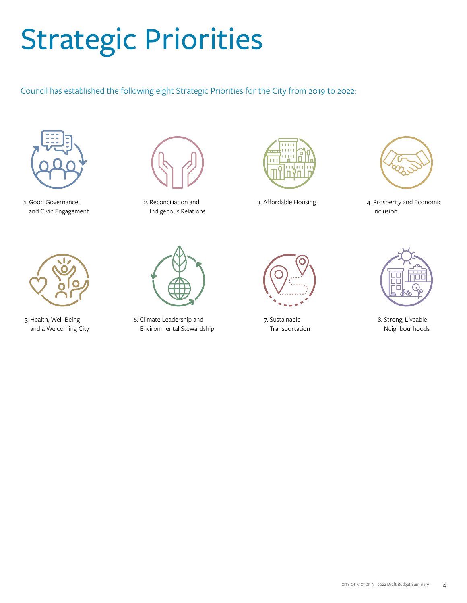# Strategic Priorities

Council has established the following eight Strategic Priorities for the City from 2019 to 2022:



1. Good Governance and Civic Engagement



5. Health, Well-Being and a Welcoming City



2. Reconciliation and Indigenous Relations



6. Climate Leadership and Environmental Stewardship





3. Affordable Housing 4. Prosperity and Economic Inclusion



7. Sustainable Transportation



8. Strong, Liveable Neighbourhoods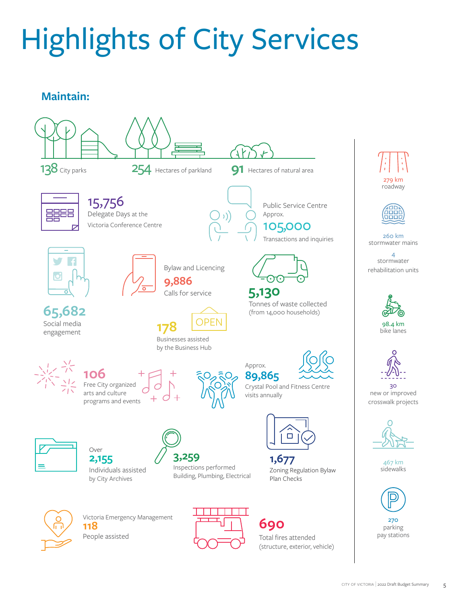# Highlights of City Services

# **Maintain:**

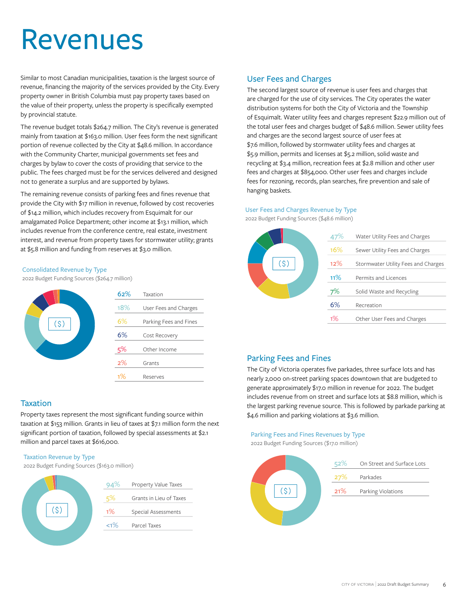# Revenues

Similar to most Canadian municipalities, taxation is the largest source of revenue, financing the majority of the services provided by the City. Every property owner in British Columbia must pay property taxes based on the value of their property, unless the property is specifically exempted by provincial statute.

The revenue budget totals \$264.7 million. The City's revenue is generated mainly from taxation at \$163.0 million. User fees form the next significant portion of revenue collected by the City at \$48.6 million. In accordance with the Community Charter, municipal governments set fees and charges by bylaw to cover the costs of providing that service to the public. The fees charged must be for the services delivered and designed not to generate a surplus and are supported by bylaws.

The remaining revenue consists of parking fees and fines revenue that provide the City with \$17 million in revenue, followed by cost recoveries of \$14.2 million, which includes recovery from Esquimalt for our amalgamated Police Department; other income at \$13.1 million, which includes revenue from the conference centre, real estate, investment interest, and revenue from property taxes for stormwater utility; grants at \$5.8 million and funding from reserves at \$3.0 million.

### Consolidated Revenue by Type

2022 Budget Funding Sources (\$264.7 million)



# **Taxation**

Property taxes represent the most significant funding source within taxation at \$153 million. Grants in lieu of taxes at \$7.1 million form the next significant portion of taxation, followed by special assessments at \$2.1 million and parcel taxes at \$616,000.

### Taxation Revenue by Type

2022 Budget Funding Sources (\$163.0 million)



# User Fees and Charges

The second largest source of revenue is user fees and charges that are charged for the use of city services. The City operates the water distribution systems for both the City of Victoria and the Township of Esquimalt. Water utility fees and charges represent \$22.9 million out of the total user fees and charges budget of \$48.6 million. Sewer utility fees and charges are the second largest source of user fees at \$7.6 million, followed by stormwater utility fees and charges at \$5.9 million, permits and licenses at \$5.2 million, solid waste and recycling at \$3.4 million, recreation fees at \$2.8 million and other user fees and charges at \$854,000. Other user fees and charges include fees for rezoning, records, plan searches, fire prevention and sale of hanging baskets.

### User Fees and Charges Revenue by Type

2022 Budget Funding Sources (\$48.6 million)



# Parking Fees and Fines

The City of Victoria operates five parkades, three surface lots and has nearly 2,000 on-street parking spaces downtown that are budgeted to generate approximately \$17.0 million in revenue for 2022. The budget includes revenue from on street and surface lots at \$8.8 million, which is the largest parking revenue source. This is followed by parkade parking at \$4.6 million and parking violations at \$3.6 million.

# Parking Fees and Fines Revenues by Type

2022 Budget Funding Sources (\$17.0 million)

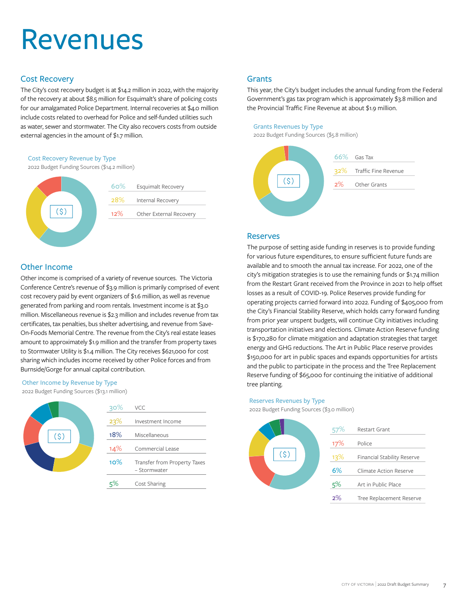# Revenues

# Cost Recovery

The City's cost recovery budget is at \$14.2 million in 2022, with the majority of the recovery at about \$8.5 million for Esquimalt's share of policing costs for our amalgamated Police Department. Internal recoveries at \$4.0 million include costs related to overhead for Police and self-funded utilities such as water, sewer and stormwater. The City also recovers costs from outside external agencies in the amount of \$1.7 million.

# Cost Recovery Revenue by Type

2022 Budget Funding Sources (\$14.2 million)



# Other Income

Other income is comprised of a variety of revenue sources. The Victoria Conference Centre's revenue of \$3.9 million is primarily comprised of event cost recovery paid by event organizers of \$1.6 million, as well as revenue generated from parking and room rentals. Investment income is at \$3.0 million. Miscellaneous revenue is \$2.3 million and includes revenue from tax certificates, tax penalties, bus shelter advertising, and revenue from Save-On-Foods Memorial Centre. The revenue from the City's real estate leases amount to approximately \$1.9 million and the transfer from property taxes to Stormwater Utility is \$1.4 million. The City receives \$621,000 for cost sharing which includes income received by other Police forces and from Burnside/Gorge for annual capital contribution.

# Other Income by Revenue by Type

2022 Budget Funding Sources (\$13.1 million)



| $30\%$ | VCC.                                         |
|--------|----------------------------------------------|
| 23%    | Investment Income                            |
| 18%    | Miscellaneous                                |
| 14%    | Commercial Lease                             |
| 10%    | Transfer from Property Taxes<br>- Stormwater |
|        | Cost Sharing                                 |

# **Grants**

This year, the City's budget includes the annual funding from the Federal Government's gas tax program which is approximately \$3.8 million and the Provincial Traffic Fine Revenue at about \$1.9 million.

# Grants Revenues by Type

2022 Budget Funding Sources (\$5.8 million)



# Reserves

The purpose of setting aside funding in reserves is to provide funding for various future expenditures, to ensure sufficient future funds are available and to smooth the annual tax increase. For 2022, one of the city's mitigation strategies is to use the remaining funds or \$1.74 million from the Restart Grant received from the Province in 2021 to help offset losses as a result of COVID-19. Police Reserves provide funding for operating projects carried forward into 2022. Funding of \$405,000 from the City's Financial Stability Reserve, which holds carry forward funding from prior year unspent budgets, will continue City initiatives including transportation initiatives and elections. Climate Action Reserve funding is \$170,280 for climate mitigation and adaptation strategies that target energy and GHG reductions. The Art in Public Place reserve provides \$150,000 for art in public spaces and expands opportunities for artists and the public to participate in the process and the Tree Replacement Reserve funding of \$65,000 for continuing the initiative of additional tree planting.

### Reserves Revenues by Type

2022 Budget Funding Sources (\$3.0 million)

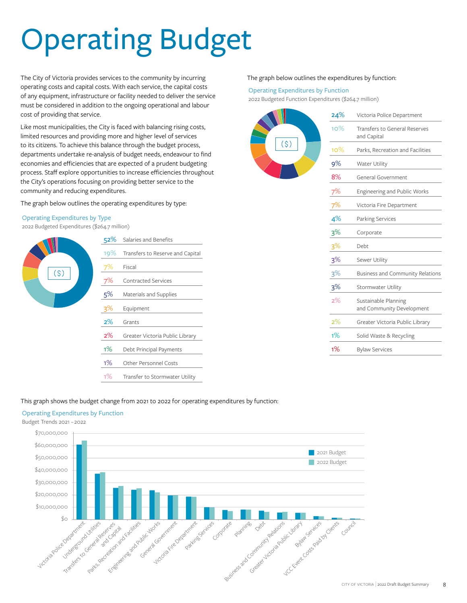# Operating Budget

The City of Victoria provides services to the community by incurring operating costs and capital costs. With each service, the capital costs of any equipment, infrastructure or facility needed to deliver the service must be considered in addition to the ongoing operational and labour cost of providing that service.

Like most municipalities, the City is faced with balancing rising costs, limited resources and providing more and higher level of services to its citizens. To achieve this balance through the budget process, departments undertake re-analysis of budget needs, endeavour to find economies and efficiencies that are expected of a prudent budgeting process. Staff explore opportunities to increase efficiencies throughout the City's operations focusing on providing better service to the community and reducing expenditures.

The graph below outlines the operating expenditures by type:

### Operating Expenditures by Type

2022 Budgeted Expenditures (\$264.7 million)



#### The graph below outlines the expenditures by function:

#### Operating Expenditures by Function

2022 Budgeted Function Expenditures (\$264.7 million)

| Transfers to General Reserves                     |
|---------------------------------------------------|
| Parks, Recreation and Facilities                  |
| Water Utility                                     |
| General Government                                |
| Engineering and Public Works                      |
| Victoria Fire Department                          |
| Parking Services                                  |
|                                                   |
|                                                   |
| Sewer Utility                                     |
| Business and Community Relations                  |
| Stormwater Utility                                |
| Sustainable Planning<br>and Community Development |
| Greater Victoria Public Library                   |
| Solid Waste & Recycling                           |
| <b>Bylaw Services</b>                             |
|                                                   |

## This graph shows the budget change from 2021 to 2022 for operating expenditures by function:

# Operating Expenditures by Function

Budget Trends 2021 –2022